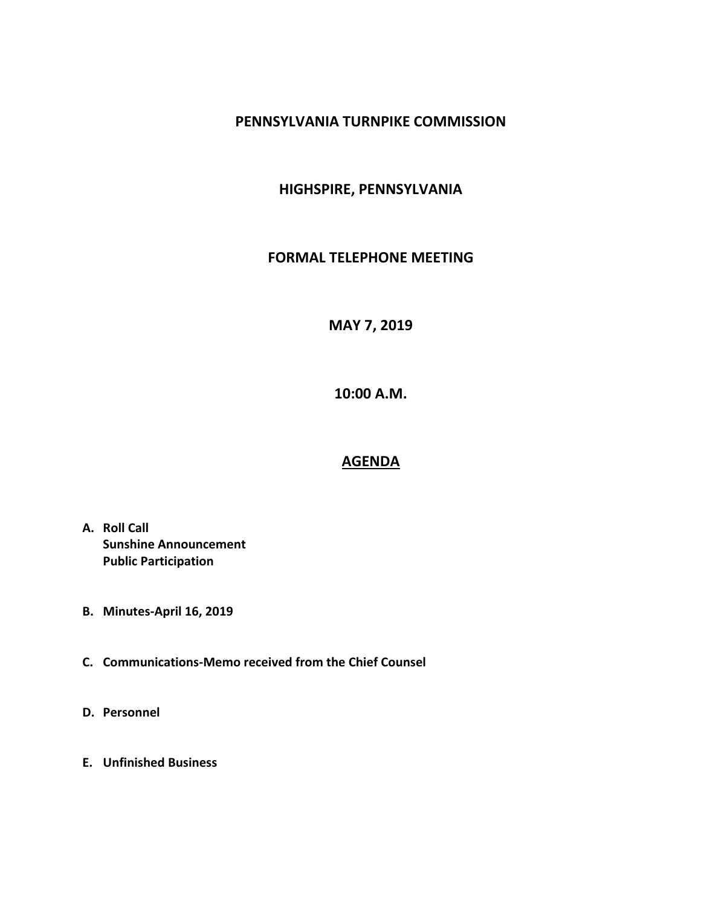## **PENNSYLVANIA TURNPIKE COMMISSION**

## **HIGHSPIRE, PENNSYLVANIA**

#### **FORMAL TELEPHONE MEETING**

# **MAY 7, 2019**

**10:00 A.M.**

## **AGENDA**

- **A. Roll Call Sunshine Announcement Public Participation**
- **B. Minutes-April 16, 2019**
- **C. Communications-Memo received from the Chief Counsel**
- **D. Personnel**
- **E. Unfinished Business**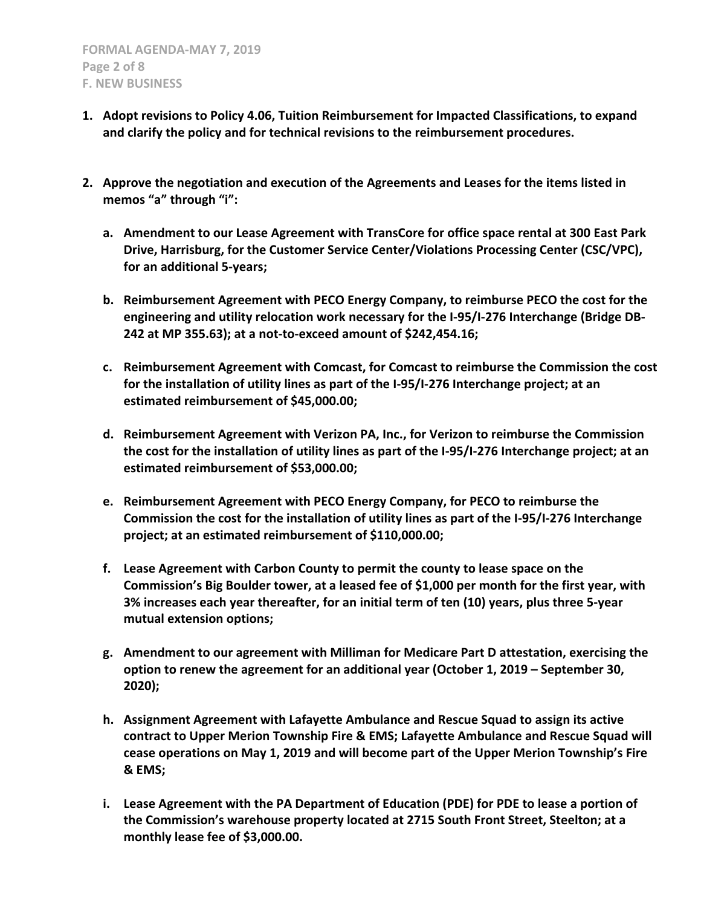- **1. Adopt revisions to Policy 4.06, Tuition Reimbursement for Impacted Classifications, to expand and clarify the policy and for technical revisions to the reimbursement procedures.**
- **2. Approve the negotiation and execution of the Agreements and Leases for the items listed in memos "a" through "i":**
	- **a. Amendment to our Lease Agreement with TransCore for office space rental at 300 East Park Drive, Harrisburg, for the Customer Service Center/Violations Processing Center (CSC/VPC), for an additional 5-years;**
	- **b. Reimbursement Agreement with PECO Energy Company, to reimburse PECO the cost for the engineering and utility relocation work necessary for the I-95/I-276 Interchange (Bridge DB-242 at MP 355.63); at a not-to-exceed amount of \$242,454.16;**
	- **c. Reimbursement Agreement with Comcast, for Comcast to reimburse the Commission the cost for the installation of utility lines as part of the I-95/I-276 Interchange project; at an estimated reimbursement of \$45,000.00;**
	- **d. Reimbursement Agreement with Verizon PA, Inc., for Verizon to reimburse the Commission the cost for the installation of utility lines as part of the I-95/I-276 Interchange project; at an estimated reimbursement of \$53,000.00;**
	- **e. Reimbursement Agreement with PECO Energy Company, for PECO to reimburse the Commission the cost for the installation of utility lines as part of the I-95/I-276 Interchange project; at an estimated reimbursement of \$110,000.00;**
	- **f. Lease Agreement with Carbon County to permit the county to lease space on the Commission's Big Boulder tower, at a leased fee of \$1,000 per month for the first year, with 3% increases each year thereafter, for an initial term of ten (10) years, plus three 5-year mutual extension options;**
	- **g. Amendment to our agreement with Milliman for Medicare Part D attestation, exercising the option to renew the agreement for an additional year (October 1, 2019 – September 30, 2020);**
	- **h. Assignment Agreement with Lafayette Ambulance and Rescue Squad to assign its active contract to Upper Merion Township Fire & EMS; Lafayette Ambulance and Rescue Squad will cease operations on May 1, 2019 and will become part of the Upper Merion Township's Fire & EMS;**
	- **i. Lease Agreement with the PA Department of Education (PDE) for PDE to lease a portion of the Commission's warehouse property located at 2715 South Front Street, Steelton; at a monthly lease fee of \$3,000.00.**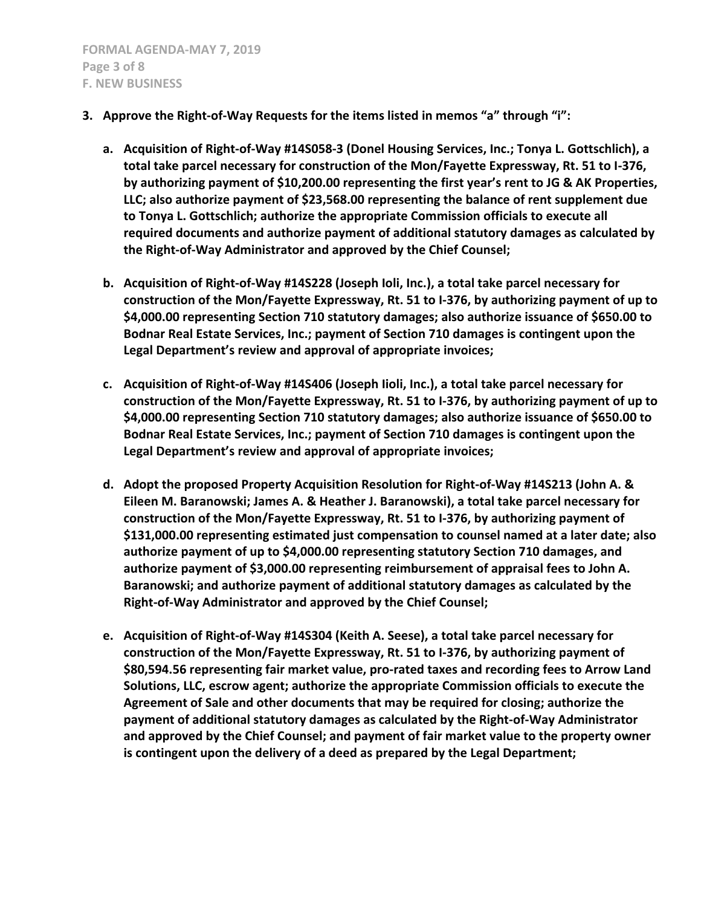- **3. Approve the Right-of-Way Requests for the items listed in memos "a" through "i":**
	- **a. Acquisition of Right-of-Way #14S058-3 (Donel Housing Services, Inc.; Tonya L. Gottschlich), a total take parcel necessary for construction of the Mon/Fayette Expressway, Rt. 51 to I-376, by authorizing payment of \$10,200.00 representing the first year's rent to JG & AK Properties, LLC; also authorize payment of \$23,568.00 representing the balance of rent supplement due to Tonya L. Gottschlich; authorize the appropriate Commission officials to execute all required documents and authorize payment of additional statutory damages as calculated by the Right-of-Way Administrator and approved by the Chief Counsel;**
	- **b. Acquisition of Right-of-Way #14S228 (Joseph Ioli, Inc.), a total take parcel necessary for construction of the Mon/Fayette Expressway, Rt. 51 to I-376, by authorizing payment of up to \$4,000.00 representing Section 710 statutory damages; also authorize issuance of \$650.00 to Bodnar Real Estate Services, Inc.; payment of Section 710 damages is contingent upon the Legal Department's review and approval of appropriate invoices;**
	- **c. Acquisition of Right-of-Way #14S406 (Joseph Iioli, Inc.), a total take parcel necessary for construction of the Mon/Fayette Expressway, Rt. 51 to I-376, by authorizing payment of up to \$4,000.00 representing Section 710 statutory damages; also authorize issuance of \$650.00 to Bodnar Real Estate Services, Inc.; payment of Section 710 damages is contingent upon the Legal Department's review and approval of appropriate invoices;**
	- **d. Adopt the proposed Property Acquisition Resolution for Right-of-Way #14S213 (John A. & Eileen M. Baranowski; James A. & Heather J. Baranowski), a total take parcel necessary for construction of the Mon/Fayette Expressway, Rt. 51 to I-376, by authorizing payment of \$131,000.00 representing estimated just compensation to counsel named at a later date; also authorize payment of up to \$4,000.00 representing statutory Section 710 damages, and authorize payment of \$3,000.00 representing reimbursement of appraisal fees to John A. Baranowski; and authorize payment of additional statutory damages as calculated by the Right-of-Way Administrator and approved by the Chief Counsel;**
	- **e. Acquisition of Right-of-Way #14S304 (Keith A. Seese), a total take parcel necessary for construction of the Mon/Fayette Expressway, Rt. 51 to I-376, by authorizing payment of \$80,594.56 representing fair market value, pro-rated taxes and recording fees to Arrow Land Solutions, LLC, escrow agent; authorize the appropriate Commission officials to execute the Agreement of Sale and other documents that may be required for closing; authorize the payment of additional statutory damages as calculated by the Right-of-Way Administrator and approved by the Chief Counsel; and payment of fair market value to the property owner is contingent upon the delivery of a deed as prepared by the Legal Department;**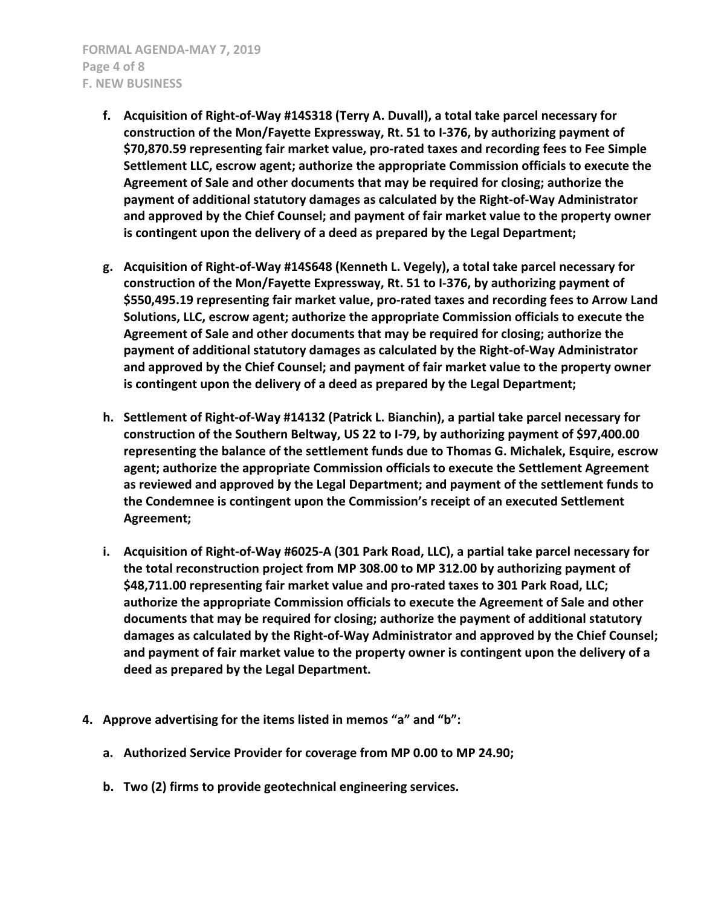- **f. Acquisition of Right-of-Way #14S318 (Terry A. Duvall), a total take parcel necessary for construction of the Mon/Fayette Expressway, Rt. 51 to I-376, by authorizing payment of \$70,870.59 representing fair market value, pro-rated taxes and recording fees to Fee Simple Settlement LLC, escrow agent; authorize the appropriate Commission officials to execute the Agreement of Sale and other documents that may be required for closing; authorize the payment of additional statutory damages as calculated by the Right-of-Way Administrator and approved by the Chief Counsel; and payment of fair market value to the property owner is contingent upon the delivery of a deed as prepared by the Legal Department;**
- **g. Acquisition of Right-of-Way #14S648 (Kenneth L. Vegely), a total take parcel necessary for construction of the Mon/Fayette Expressway, Rt. 51 to I-376, by authorizing payment of \$550,495.19 representing fair market value, pro-rated taxes and recording fees to Arrow Land Solutions, LLC, escrow agent; authorize the appropriate Commission officials to execute the Agreement of Sale and other documents that may be required for closing; authorize the payment of additional statutory damages as calculated by the Right-of-Way Administrator and approved by the Chief Counsel; and payment of fair market value to the property owner is contingent upon the delivery of a deed as prepared by the Legal Department;**
- **h. Settlement of Right-of-Way #14132 (Patrick L. Bianchin), a partial take parcel necessary for construction of the Southern Beltway, US 22 to I-79, by authorizing payment of \$97,400.00 representing the balance of the settlement funds due to Thomas G. Michalek, Esquire, escrow agent; authorize the appropriate Commission officials to execute the Settlement Agreement as reviewed and approved by the Legal Department; and payment of the settlement funds to the Condemnee is contingent upon the Commission's receipt of an executed Settlement Agreement;**
- **i. Acquisition of Right-of-Way #6025-A (301 Park Road, LLC), a partial take parcel necessary for the total reconstruction project from MP 308.00 to MP 312.00 by authorizing payment of \$48,711.00 representing fair market value and pro-rated taxes to 301 Park Road, LLC; authorize the appropriate Commission officials to execute the Agreement of Sale and other documents that may be required for closing; authorize the payment of additional statutory damages as calculated by the Right-of-Way Administrator and approved by the Chief Counsel; and payment of fair market value to the property owner is contingent upon the delivery of a deed as prepared by the Legal Department.**
- **4. Approve advertising for the items listed in memos "a" and "b":**
	- **a. Authorized Service Provider for coverage from MP 0.00 to MP 24.90;**
	- **b. Two (2) firms to provide geotechnical engineering services.**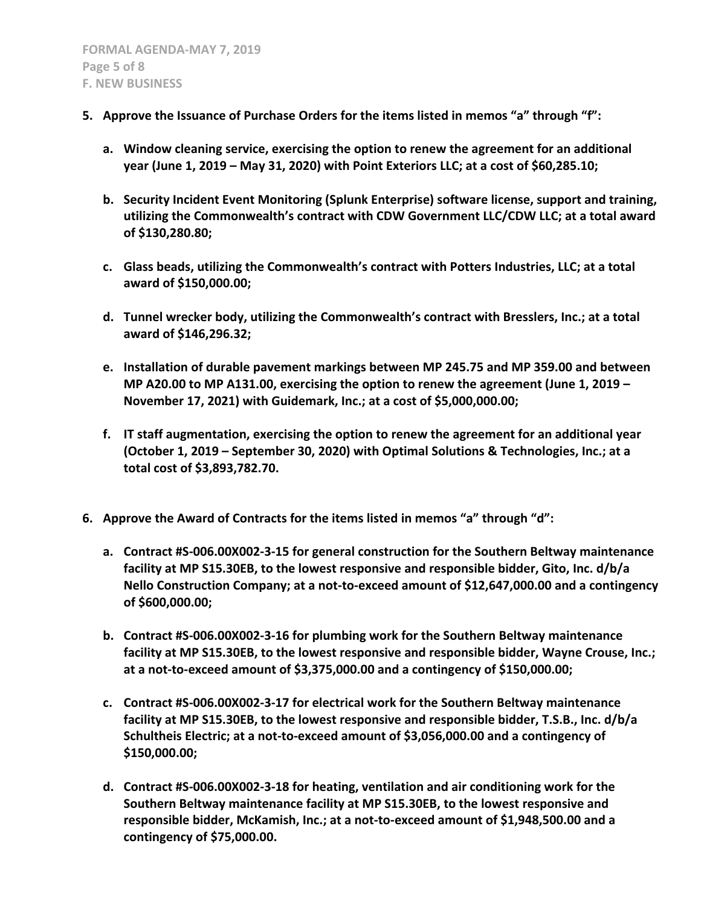- **5. Approve the Issuance of Purchase Orders for the items listed in memos "a" through "f":**
	- **a. Window cleaning service, exercising the option to renew the agreement for an additional year (June 1, 2019 – May 31, 2020) with Point Exteriors LLC; at a cost of \$60,285.10;**
	- **b. Security Incident Event Monitoring (Splunk Enterprise) software license, support and training, utilizing the Commonwealth's contract with CDW Government LLC/CDW LLC; at a total award of \$130,280.80;**
	- **c. Glass beads, utilizing the Commonwealth's contract with Potters Industries, LLC; at a total award of \$150,000.00;**
	- **d. Tunnel wrecker body, utilizing the Commonwealth's contract with Bresslers, Inc.; at a total award of \$146,296.32;**
	- **e. Installation of durable pavement markings between MP 245.75 and MP 359.00 and between MP A20.00 to MP A131.00, exercising the option to renew the agreement (June 1, 2019 – November 17, 2021) with Guidemark, Inc.; at a cost of \$5,000,000.00;**
	- **f. IT staff augmentation, exercising the option to renew the agreement for an additional year (October 1, 2019 – September 30, 2020) with Optimal Solutions & Technologies, Inc.; at a total cost of \$3,893,782.70.**
- **6. Approve the Award of Contracts for the items listed in memos "a" through "d":**
	- **a. Contract #S-006.00X002-3-15 for general construction for the Southern Beltway maintenance facility at MP S15.30EB, to the lowest responsive and responsible bidder, Gito, Inc. d/b/a Nello Construction Company; at a not-to-exceed amount of \$12,647,000.00 and a contingency of \$600,000.00;**
	- **b. Contract #S-006.00X002-3-16 for plumbing work for the Southern Beltway maintenance facility at MP S15.30EB, to the lowest responsive and responsible bidder, Wayne Crouse, Inc.; at a not-to-exceed amount of \$3,375,000.00 and a contingency of \$150,000.00;**
	- **c. Contract #S-006.00X002-3-17 for electrical work for the Southern Beltway maintenance facility at MP S15.30EB, to the lowest responsive and responsible bidder, T.S.B., Inc. d/b/a Schultheis Electric; at a not-to-exceed amount of \$3,056,000.00 and a contingency of \$150,000.00;**
	- **d. Contract #S-006.00X002-3-18 for heating, ventilation and air conditioning work for the Southern Beltway maintenance facility at MP S15.30EB, to the lowest responsive and responsible bidder, McKamish, Inc.; at a not-to-exceed amount of \$1,948,500.00 and a contingency of \$75,000.00.**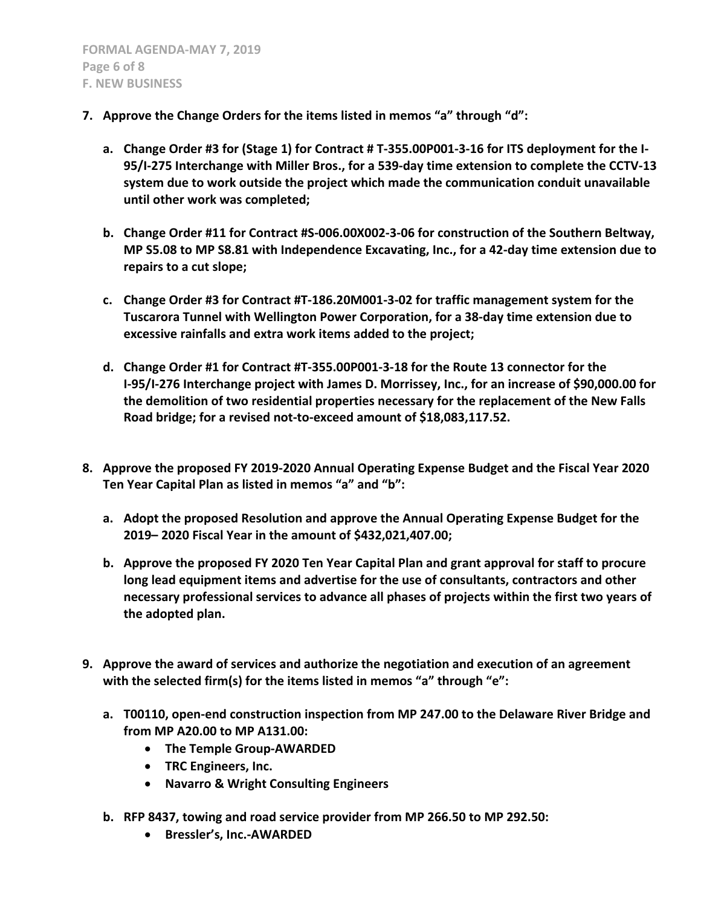- **7. Approve the Change Orders for the items listed in memos "a" through "d":**
	- **a. Change Order #3 for (Stage 1) for Contract # T-355.00P001-3-16 for ITS deployment for the I-95/I-275 Interchange with Miller Bros., for a 539-day time extension to complete the CCTV-13 system due to work outside the project which made the communication conduit unavailable until other work was completed;**
	- **b. Change Order #11 for Contract #S-006.00X002-3-06 for construction of the Southern Beltway, MP S5.08 to MP S8.81 with Independence Excavating, Inc., for a 42-day time extension due to repairs to a cut slope;**
	- **c. Change Order #3 for Contract #T-186.20M001-3-02 for traffic management system for the Tuscarora Tunnel with Wellington Power Corporation, for a 38-day time extension due to excessive rainfalls and extra work items added to the project;**
	- **d. Change Order #1 for Contract #T-355.00P001-3-18 for the Route 13 connector for the I-95/I-276 Interchange project with James D. Morrissey, Inc., for an increase of \$90,000.00 for the demolition of two residential properties necessary for the replacement of the New Falls Road bridge; for a revised not-to-exceed amount of \$18,083,117.52.**
- **8. Approve the proposed FY 2019-2020 Annual Operating Expense Budget and the Fiscal Year 2020 Ten Year Capital Plan as listed in memos "a" and "b":**
	- **a. Adopt the proposed Resolution and approve the Annual Operating Expense Budget for the 2019– 2020 Fiscal Year in the amount of \$432,021,407.00;**
	- **b. Approve the proposed FY 2020 Ten Year Capital Plan and grant approval for staff to procure long lead equipment items and advertise for the use of consultants, contractors and other necessary professional services to advance all phases of projects within the first two years of the adopted plan.**
- **9. Approve the award of services and authorize the negotiation and execution of an agreement with the selected firm(s) for the items listed in memos "a" through "e":**
	- **a. T00110, open-end construction inspection from MP 247.00 to the Delaware River Bridge and from MP A20.00 to MP A131.00:**
		- **The Temple Group-AWARDED**
		- **TRC Engineers, Inc.**
		- **Navarro & Wright Consulting Engineers**
	- **b. RFP 8437, towing and road service provider from MP 266.50 to MP 292.50:**
		- **Bressler's, Inc.-AWARDED**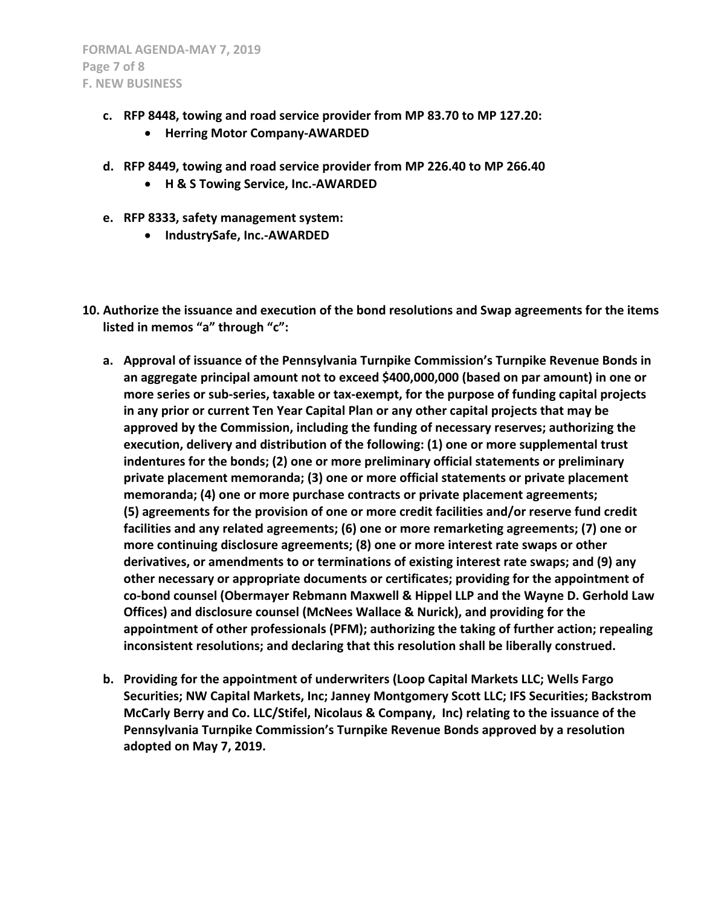- **c. RFP 8448, towing and road service provider from MP 83.70 to MP 127.20:**
	- **Herring Motor Company-AWARDED**
- **d. RFP 8449, towing and road service provider from MP 226.40 to MP 266.40**
	- **H & S Towing Service, Inc.-AWARDED**
- **e. RFP 8333, safety management system:**
	- **IndustrySafe, Inc.-AWARDED**
- **10. Authorize the issuance and execution of the bond resolutions and Swap agreements for the items listed in memos "a" through "c":**
	- **a. Approval of issuance of the Pennsylvania Turnpike Commission's Turnpike Revenue Bonds in an aggregate principal amount not to exceed \$400,000,000 (based on par amount) in one or more series or sub-series, taxable or tax-exempt, for the purpose of funding capital projects in any prior or current Ten Year Capital Plan or any other capital projects that may be approved by the Commission, including the funding of necessary reserves; authorizing the execution, delivery and distribution of the following: (1) one or more supplemental trust indentures for the bonds; (2) one or more preliminary official statements or preliminary private placement memoranda; (3) one or more official statements or private placement memoranda; (4) one or more purchase contracts or private placement agreements; (5) agreements for the provision of one or more credit facilities and/or reserve fund credit facilities and any related agreements; (6) one or more remarketing agreements; (7) one or more continuing disclosure agreements; (8) one or more interest rate swaps or other derivatives, or amendments to or terminations of existing interest rate swaps; and (9) any other necessary or appropriate documents or certificates; providing for the appointment of co-bond counsel (Obermayer Rebmann Maxwell & Hippel LLP and the Wayne D. Gerhold Law Offices) and disclosure counsel (McNees Wallace & Nurick), and providing for the appointment of other professionals (PFM); authorizing the taking of further action; repealing inconsistent resolutions; and declaring that this resolution shall be liberally construed.**
	- **b. Providing for the appointment of underwriters (Loop Capital Markets LLC; Wells Fargo Securities; NW Capital Markets, Inc; Janney Montgomery Scott LLC; IFS Securities; Backstrom McCarly Berry and Co. LLC/Stifel, Nicolaus & Company, Inc) relating to the issuance of the Pennsylvania Turnpike Commission's Turnpike Revenue Bonds approved by a resolution adopted on May 7, 2019.**